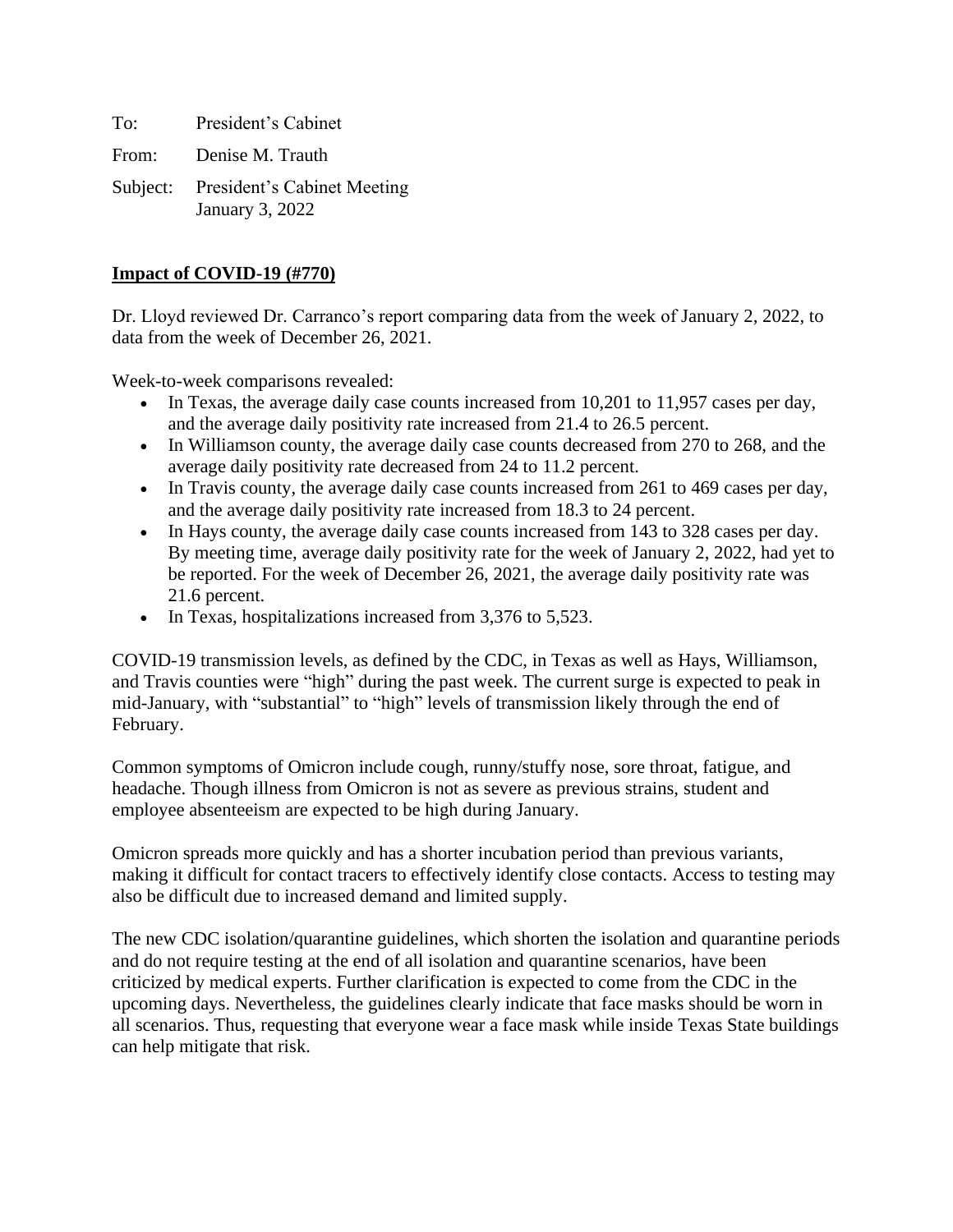To: President's Cabinet

From: Denise M. Trauth

Subject: President's Cabinet Meeting January 3, 2022

#### **Impact of COVID-19 (#770)**

Dr. Lloyd reviewed Dr. Carranco's report comparing data from the week of January 2, 2022, to data from the week of December 26, 2021.

Week-to-week comparisons revealed:

- In Texas, the average daily case counts increased from 10,201 to 11,957 cases per day, and the average daily positivity rate increased from 21.4 to 26.5 percent.
- In Williamson county, the average daily case counts decreased from 270 to 268, and the average daily positivity rate decreased from 24 to 11.2 percent.
- In Travis county, the average daily case counts increased from 261 to 469 cases per day, and the average daily positivity rate increased from 18.3 to 24 percent.
- In Hays county, the average daily case counts increased from 143 to 328 cases per day. By meeting time, average daily positivity rate for the week of January 2, 2022, had yet to be reported. For the week of December 26, 2021, the average daily positivity rate was 21.6 percent.
- In Texas, hospitalizations increased from 3,376 to 5,523.

COVID-19 transmission levels, as defined by the CDC, in Texas as well as Hays, Williamson, and Travis counties were "high" during the past week. The current surge is expected to peak in mid-January, with "substantial" to "high" levels of transmission likely through the end of February.

Common symptoms of Omicron include cough, runny/stuffy nose, sore throat, fatigue, and headache. Though illness from Omicron is not as severe as previous strains, student and employee absenteeism are expected to be high during January.

Omicron spreads more quickly and has a shorter incubation period than previous variants, making it difficult for contact tracers to effectively identify close contacts. Access to testing may also be difficult due to increased demand and limited supply.

The new CDC isolation/quarantine guidelines, which shorten the isolation and quarantine periods and do not require testing at the end of all isolation and quarantine scenarios, have been criticized by medical experts. Further clarification is expected to come from the CDC in the upcoming days. Nevertheless, the guidelines clearly indicate that face masks should be worn in all scenarios. Thus, requesting that everyone wear a face mask while inside Texas State buildings can help mitigate that risk.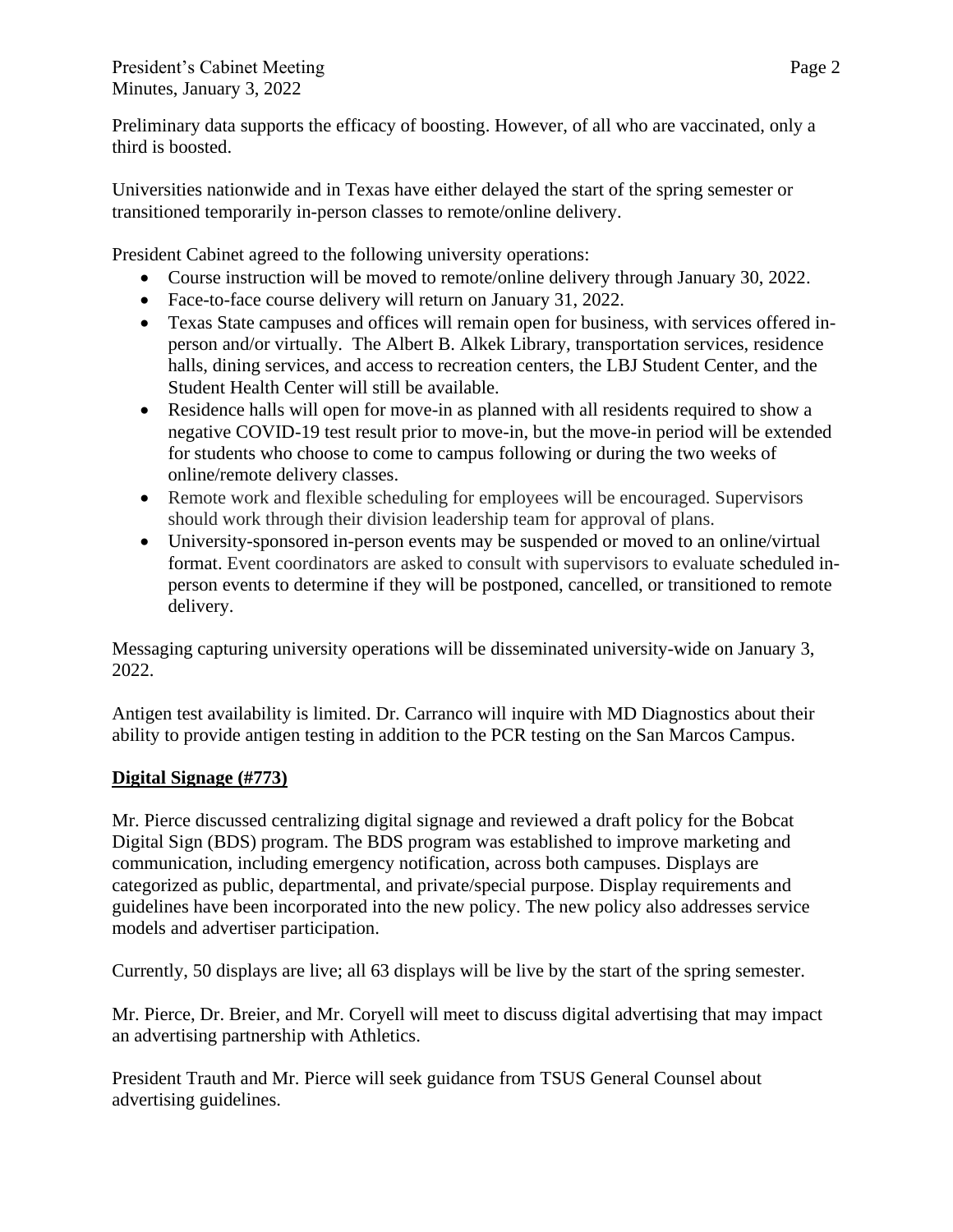Preliminary data supports the efficacy of boosting. However, of all who are vaccinated, only a third is boosted.

Universities nationwide and in Texas have either delayed the start of the spring semester or transitioned temporarily in-person classes to remote/online delivery.

President Cabinet agreed to the following university operations:

- Course instruction will be moved to remote/online delivery through January 30, 2022.
- Face-to-face course delivery will return on January 31, 2022.
- Texas State campuses and offices will remain open for business, with services offered inperson and/or virtually. The Albert B. Alkek Library, transportation services, residence halls, dining services, and access to recreation centers, the LBJ Student Center, and the Student Health Center will still be available.
- Residence halls will open for move-in as planned with all residents required to show a negative COVID-19 test result prior to move-in, but the move-in period will be extended for students who choose to come to campus following or during the two weeks of online/remote delivery classes.
- Remote work and flexible scheduling for employees will be encouraged. Supervisors should work through their division leadership team for approval of plans.
- University-sponsored in-person events may be suspended or moved to an online/virtual format. Event coordinators are asked to consult with supervisors to evaluate scheduled inperson events to determine if they will be postponed, cancelled, or transitioned to remote delivery.

Messaging capturing university operations will be disseminated university-wide on January 3, 2022.

Antigen test availability is limited. Dr. Carranco will inquire with MD Diagnostics about their ability to provide antigen testing in addition to the PCR testing on the San Marcos Campus.

# **Digital Signage (#773)**

Mr. Pierce discussed centralizing digital signage and reviewed a draft policy for the Bobcat Digital Sign (BDS) program. The BDS program was established to improve marketing and communication, including emergency notification, across both campuses. Displays are categorized as public, departmental, and private/special purpose. Display requirements and guidelines have been incorporated into the new policy. The new policy also addresses service models and advertiser participation.

Currently, 50 displays are live; all 63 displays will be live by the start of the spring semester.

Mr. Pierce, Dr. Breier, and Mr. Coryell will meet to discuss digital advertising that may impact an advertising partnership with Athletics.

President Trauth and Mr. Pierce will seek guidance from TSUS General Counsel about advertising guidelines.